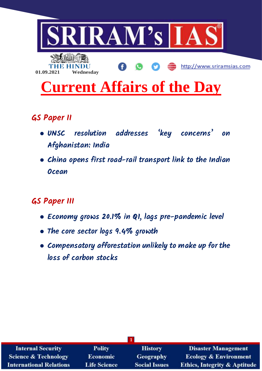

- **GS Paper II**
	- **● UNSC resolution addresses 'key concerns' on Afghanistan: India**
	- **● China opens first road-rail transport link to the Indian Ocean**

# **GS Paper III**

- **● Economy grows 20.1% in Q1, lags pre-pandemic level**
- **● The core sector logs 9.4% growth**
- **● Compensatory afforestation unlikely to make up for the loss of carbon stocks**

| <b>Internal Security</b>        | <b>Polity</b>       | <b>History</b>       | <b>Disaster Management</b>              |  |
|---------------------------------|---------------------|----------------------|-----------------------------------------|--|
| <b>Science &amp; Technology</b> | <b>Economic</b>     | <b>Geography</b>     | <b>Ecology &amp; Environment</b>        |  |
| <b>International Relations</b>  | <b>Life Science</b> | <b>Social Issues</b> | <b>Ethics, Integrity &amp; Aptitude</b> |  |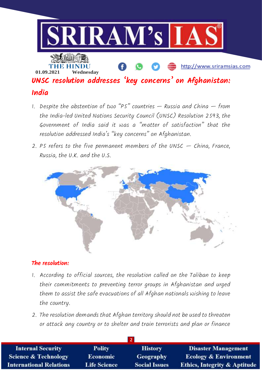

- 1. Despite the abstention of two "PS" countries  $-$  Russia and China  $-$  from the India-led United Nations Security Council (UNSC) Resolution 2593, the Government of India said it was a "matter of satisfaction" that the resolution addressed India's "key concerns" on Afghanistan.
- 2. P5 refers to the five permanent members of the UNSC  $-$  China, France, Russia, the U.K. and the U.S.



#### **The resolution:**

- 1. According to official sources, the resolution called on the Taliban to keep their commitments to preventing terror groups in Afghanistan and urged them to assist the safe evacuations of all Afghan nationals wishing to leave the country.
- 2. The resolution demands that Afghan territory should not be used to threaten or attack any country or to shelter and train terrorists and plan or finance

| <b>Internal Security</b>        | <b>Polity</b>       | <b>History</b>       | <b>Disaster Management</b>              |  |
|---------------------------------|---------------------|----------------------|-----------------------------------------|--|
| <b>Science &amp; Technology</b> | <b>Economic</b>     | <b>Geography</b>     | <b>Ecology &amp; Environment</b>        |  |
| <b>International Relations</b>  | <b>Life Science</b> | <b>Social Issues</b> | <b>Ethics, Integrity &amp; Aptitude</b> |  |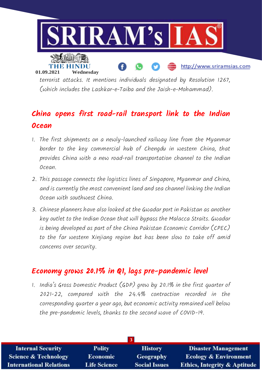

terrorist attacks. It mentions individuals designated by Resolution 1267, (which includes the Lashkar-e-Taiba and the Jaish-e-Mohammad).

# **China opens first road-rail transport link to the Indian Ocean**

- 1. The first shipments on a newly-launched railway line from the Myanmar border to the key commercial hub of Chengdu in western China, that provides China with a new road-rail transportation channel to the Indian Ocean.
- 2. This passage connects the logistics lines of Singapore, Myanmar and China, and is currently the most convenient land and sea channel linking the Indian Ocean with southwest China.
- 3. Chinese planners have also looked at the Gwadar port in Pakistan as another key outlet to the Indian Ocean that will bypass the Malacca Straits. Gwadar is being developed as part of the China Pakistan Economic Corridor (CPEC) to the far western Xinjiang region but has been slow to take off amid concerns over security.

### **Economy grows 20.1% in Q1, lags pre-pandemic level**

1. India's Gross Domestic Product (GDP) grew by 20.1% in the first quarter of 2021-22, compared with the 24.4% contraction recorded in the corresponding quarter a year ago, but economic activity remained well below the pre-pandemic levels, thanks to the second wave of COVID-19.

| <b>Internal Security</b>        | <b>Polity</b>       | <b>History</b>       | <b>Disaster Management</b>              |
|---------------------------------|---------------------|----------------------|-----------------------------------------|
| <b>Science &amp; Technology</b> | <b>Economic</b>     | <b>Geography</b>     | <b>Ecology &amp; Environment</b>        |
| <b>International Relations</b>  | <b>Life Science</b> | <b>Social Issues</b> | <b>Ethics, Integrity &amp; Aptitude</b> |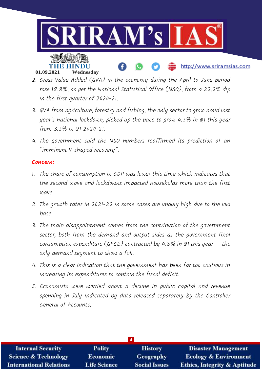

### 2. Gross Value Added (GVA) in the economy during the April to June period rose 18.8%, as per the National Statistical Office (NSO), from a 22.2% dip in the first quarter of 2020-21.

- 3. GVA from agriculture, forestry and fishing, the only sector to grow amid last year's national lockdown, picked up the pace to grow 4.5% in Q1 this year from 3.5% in Q1 2020-21.
- 4. The government said the NSO numbers reaffirmed its prediction of an "imminent V-shaped recovery".

#### **Concern:**

- 1. The share of consumption in GDP was lower this time which indicates that the second wave and lockdowns impacted households more than the first wave.
- 2. The growth rates in 2021-22 in some cases are unduly high due to the low base.
- 3. The main disappointment comes from the contribution of the government sector, both from the demand and output sides as the government final consumption expenditure (GFCE) contracted by  $4.8\%$  in QI this year  $-$  the only demand segment to show a fall.
- 4. This is a clear indication that the government has been far too cautious in increasing its expenditures to contain the fiscal deficit.
- 5. Economists were worried about a decline in public capital and revenue spending in July indicated by data released separately by the Controller General of Accounts.

| $\overline{4}$                  |                     |                      |                                         |  |
|---------------------------------|---------------------|----------------------|-----------------------------------------|--|
| <b>Internal Security</b>        | <b>Polity</b>       | <b>History</b>       | <b>Disaster Management</b>              |  |
| <b>Science &amp; Technology</b> | <b>Economic</b>     | <b>Geography</b>     | <b>Ecology &amp; Environment</b>        |  |
| <b>International Relations</b>  | <b>Life Science</b> | <b>Social Issues</b> | <b>Ethics, Integrity &amp; Aptitude</b> |  |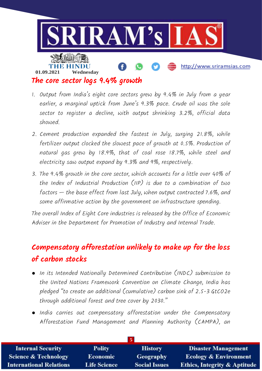

- 1. Output from India's eight core sectors grew by 9.4% in July from a year earlier, a marginal uptick from June's 9.3% pace. Crude oil was the sole sector to register a decline, with output shrinking 3.2%, official data showed.
- 2. Cement production expanded the fastest in July, surging 21.8%, while fertilizer output clocked the slowest pace of growth at 0.5%. Production of natural gas grew by 18.9%, that of coal rose 18.7%, while steel and electricity saw output expand by 9.3% and 9%, respectively.
- 3. The 9.4% growth in the core sector, which accounts for a little over 40% of the Index of Industrial Production (IIP) is due to a combination of two factors — the base effect from last July, when output contracted 7.6%, and some affirmative action by the government on infrastructure spending.

The overall Index of Eight Core industries is released by the Office of Economic Adviser in the Department for Promotion of Industry and Internal Trade.

### **Compensatory afforestation unlikely to make up for the loss of carbon stocks**

- In its Intended Nationally Determined Contribution (INDC) submission to the United Nations Framework Convention on Climate Change, India has pledged "to create an additional (cumulative) carbon sink of 2.5-3 GtCO2e through additional forest and tree cover by 2030."
- India carries out compensatory afforestation under the Compensatory Afforestation Fund Management and Planning Authority (CAMPA), an

| <b>Internal Security</b>        | <b>Polity</b>       | <b>History</b>       | <b>Disaster Management</b>              |  |
|---------------------------------|---------------------|----------------------|-----------------------------------------|--|
| <b>Science &amp; Technology</b> | <b>Economic</b>     | Geography            | <b>Ecology &amp; Environment</b>        |  |
| <b>International Relations</b>  | <b>Life Science</b> | <b>Social Issues</b> | <b>Ethics, Integrity &amp; Aptitude</b> |  |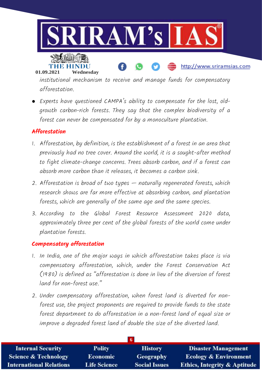



**01.09.2021 Wednesday**

institutional mechanism to receive and manage funds for compensatory afforestation.

http://www.sriramsias.com

● Experts have questioned CAMPA's ability to compensate for the lost, oldgrowth carbon-rich forests. They say that the complex biodiversity of a forest can never be compensated for by a monoculture plantation.

#### **Afforestation**

- 1. Afforestation, by definition, is the establishment of a forest in an area that previously had no tree cover. Around the world, it is a sought-after method to fight climate-change concerns. Trees absorb carbon, and if a forest can absorb more carbon than it releases, it becomes a carbon sink.
- 2. Afforestation is broad of two types naturally regenerated forests, which research shows are far more effective at absorbing carbon, and plantation forests, which are generally of the same age and the same species.
- 3. According to the Global Forest Resource Assessment 2020 data, approximately three per cent of the global forests of the world come under plantation forests.

#### **Compensatory afforestation**

- 1. In India, one of the major ways in which afforestation takes place is via compensatory afforestation, which, under the Forest Conservation Act (1980) is defined as "afforestation is done in lieu of the diversion of forest land for non-forest use."
- 2. Under compensatory afforestation, when forest land is diverted for nonforest use, the project proponents are required to provide funds to the state forest department to do afforestation in a non-forest land of equal size or improve a degraded forest land of double the size of the diverted land.

| <b>Internal Security</b>        | <b>Polity</b>       | <b>History</b>       | <b>Disaster Management</b>              |  |
|---------------------------------|---------------------|----------------------|-----------------------------------------|--|
| <b>Science &amp; Technology</b> | <b>Economic</b>     | Geography            | <b>Ecology &amp; Environment</b>        |  |
| <b>International Relations</b>  | <b>Life Science</b> | <b>Social Issues</b> | <b>Ethics, Integrity &amp; Aptitude</b> |  |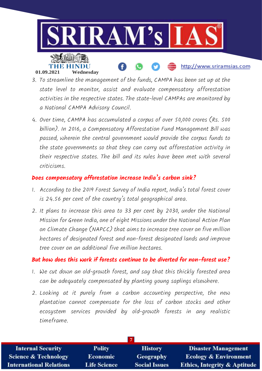

- 3. To streamline the management of the funds, CAMPA has been set up at the state level to monitor, assist and evaluate compensatory afforestation activities in the respective states. The state-level CAMPAs are monitored by a National CAMPA Advisory Council.
- 4. Over time, CAMPA has accumulated a corpus of over 50,000 crores (Rs. 500 billion). In 2016, a Compensatory Afforestation Fund Management Bill was passed, wherein the central government would provide the corpus funds to the state governments so that they can carry out afforestation activity in their respective states. The bill and its rules have been met with several criticisms.

#### **Does compensatory afforestation increase India's carbon sink?**

- 1. According to the 2019 Forest Survey of India report, India's total forest cover is 24.56 per cent of the country's total geographical area.
- 2. It plans to increase this area to 33 per cent by 2030, under the National Mission for Green India, one of eight Missions under the National Action Plan on Climate Change (NAPCC) that aims to increase tree cover on five million hectares of designated forest and non-forest designated lands and improve tree cover on an additional five million hectares.

#### **But how does this work if forests continue to be diverted for non-forest use?**

- 1. We cut down an old-growth forest, and say that this thickly forested area can be adequately compensated by planting young saplings elsewhere.
- 2. Looking at it purely from a carbon accounting perspective, the new plantation cannot compensate for the loss of carbon stocks and other ecosystem services provided by old-growth forests in any realistic timeframe.

| <b>Internal Security</b>        | <b>Polity</b>       | <b>History</b>       | <b>Disaster Management</b>              |  |
|---------------------------------|---------------------|----------------------|-----------------------------------------|--|
| <b>Science &amp; Technology</b> | <b>Economic</b>     | Geography            | <b>Ecology &amp; Environment</b>        |  |
| <b>International Relations</b>  | <b>Life Science</b> | <b>Social Issues</b> | <b>Ethics, Integrity &amp; Aptitude</b> |  |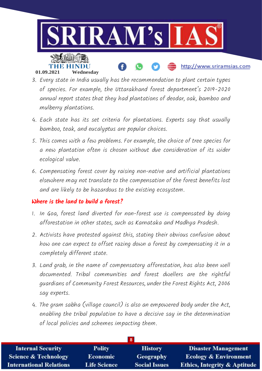

- 3. Every state in India usually has the recommendation to plant certain types of species. For example, the Uttarakhand forest department's 2019-2020 annual report states that they had plantations of deodar, oak, bamboo and mulberry plantations.
- 4. Each state has its set criteria for plantations. Experts say that usually bamboo, teak, and eucalyptus are popular choices.
- 5. This comes with a few problems. For example, the choice of tree species for a new plantation often is chosen without due consideration of its wider ecological value.
- 6. Compensating forest cover by raising non-native and artificial plantations elsewhere may not translate to the compensation of the forest benefits lost and are likely to be hazardous to the existing ecosystem.

#### **Where is the land to build a forest?**

- 1. In Goa, forest land diverted for non-forest use is compensated by doing afforestation in other states, such as Karnataka and Madhya Pradesh.
- 2. Activists have protested against this, stating their obvious confusion about how one can expect to offset razing down a forest by compensating it in a completely different state.
- 3. Land grab, in the name of compensatory afforestation, has also been well documented. Tribal communities and forest dwellers are the rightful guardians of Community Forest Resources, under the Forest Rights Act, 2006 say experts.
- 4. The gram sabha (village council) is also an empowered body under the Act, enabling the tribal population to have a decisive say in the determination of local policies and schemes impacting them.

| <b>Internal Security</b>        | <b>Polity</b>       | <b>History</b>       | <b>Disaster Management</b>              |  |
|---------------------------------|---------------------|----------------------|-----------------------------------------|--|
| <b>Science &amp; Technology</b> | <b>Economic</b>     | Geography            | <b>Ecology &amp; Environment</b>        |  |
| <b>International Relations</b>  | <b>Life Science</b> | <b>Social Issues</b> | <b>Ethics, Integrity &amp; Aptitude</b> |  |